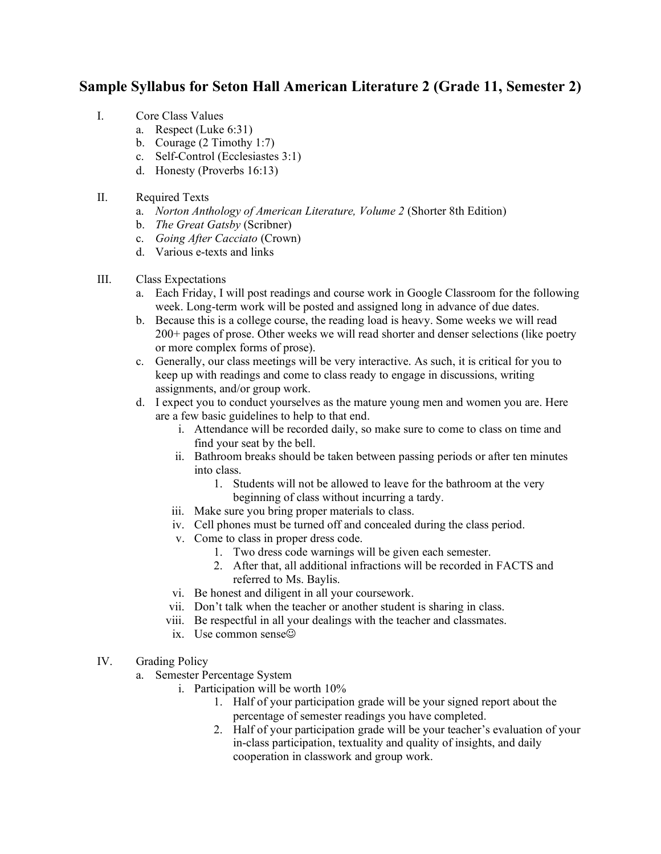## **Sample Syllabus for Seton Hall American Literature 2 (Grade 11, Semester 2)**

- I. Core Class Values
	- a. Respect (Luke 6:31)
	- b. Courage (2 Timothy 1:7)
	- c. Self-Control (Ecclesiastes 3:1)
	- d. Honesty (Proverbs 16:13)
- II. Required Texts
	- a. *Norton Anthology of American Literature, Volume 2* (Shorter 8th Edition)
	- b. *The Great Gatsby* (Scribner)
	- c. *Going After Cacciato* (Crown)
	- d. Various e-texts and links

## III. Class Expectations

- a. Each Friday, I will post readings and course work in Google Classroom for the following week. Long-term work will be posted and assigned long in advance of due dates.
- b. Because this is a college course, the reading load is heavy. Some weeks we will read 200+ pages of prose. Other weeks we will read shorter and denser selections (like poetry or more complex forms of prose).
- c. Generally, our class meetings will be very interactive. As such, it is critical for you to keep up with readings and come to class ready to engage in discussions, writing assignments, and/or group work.
- d. I expect you to conduct yourselves as the mature young men and women you are. Here are a few basic guidelines to help to that end.
	- i. Attendance will be recorded daily, so make sure to come to class on time and find your seat by the bell.
	- ii. Bathroom breaks should be taken between passing periods or after ten minutes into class.
		- 1. Students will not be allowed to leave for the bathroom at the very beginning of class without incurring a tardy.
	- iii. Make sure you bring proper materials to class.
	- iv. Cell phones must be turned off and concealed during the class period.
	- v. Come to class in proper dress code.
		- 1. Two dress code warnings will be given each semester.
		- 2. After that, all additional infractions will be recorded in FACTS and referred to Ms. Baylis.
	- vi. Be honest and diligent in all your coursework.
	- vii. Don't talk when the teacher or another student is sharing in class.
	- viii. Be respectful in all your dealings with the teacher and classmates.
	- ix. Use common sense
- IV. Grading Policy
	- a. Semester Percentage System
		- i. Participation will be worth 10%
			- 1. Half of your participation grade will be your signed report about the percentage of semester readings you have completed.
			- 2. Half of your participation grade will be your teacher's evaluation of your in-class participation, textuality and quality of insights, and daily cooperation in classwork and group work.